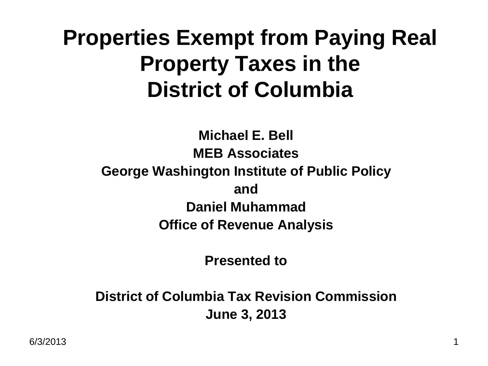#### **Properties Exempt from Paying Real Property Taxes in the District of Columbia**

#### **Michael E. Bell MEB Associates George Washington Institute of Public Policy and Daniel Muhammad Office of Revenue Analysis**

**Presented to**

**District of Columbia Tax Revision Commission June 3, 2013**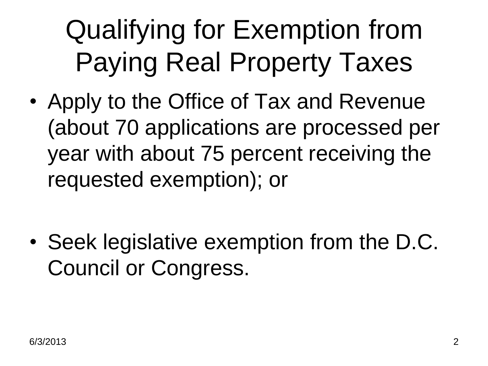### Qualifying for Exemption from Paying Real Property Taxes

• Apply to the Office of Tax and Revenue (about 70 applications are processed per year with about 75 percent receiving the requested exemption); or

• Seek legislative exemption from the D.C. Council or Congress.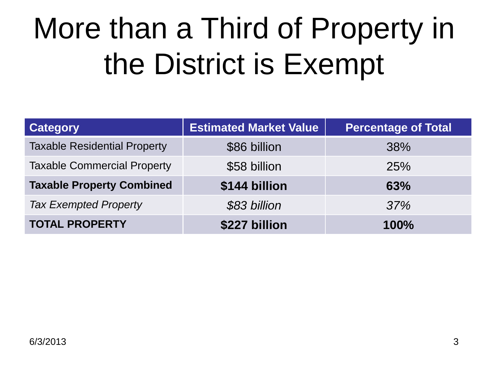### More than a Third of Property in the District is Exempt

| <b>Category</b>                     | <b>Estimated Market Value</b> | <b>Percentage of Total</b> |
|-------------------------------------|-------------------------------|----------------------------|
| <b>Taxable Residential Property</b> | \$86 billion                  | 38%                        |
| <b>Taxable Commercial Property</b>  | \$58 billion                  | 25%                        |
| <b>Taxable Property Combined</b>    | \$144 billion                 | 63%                        |
| <b>Tax Exempted Property</b>        | \$83 billion                  | 37%                        |
| <b>TOTAL PROPERTY</b>               | \$227 billion                 | 100%                       |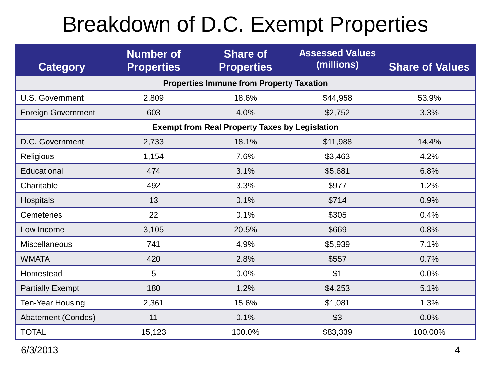#### Breakdown of D.C. Exempt Properties

| <b>Category</b>                                       | <b>Number of</b><br><b>Properties</b> | <b>Share of</b><br><b>Properties</b> | <b>Assessed Values</b><br>(millions) | <b>Share of Values</b> |  |  |
|-------------------------------------------------------|---------------------------------------|--------------------------------------|--------------------------------------|------------------------|--|--|
| <b>Properties Immune from Property Taxation</b>       |                                       |                                      |                                      |                        |  |  |
| <b>U.S. Government</b>                                | 2,809                                 | 18.6%                                | \$44,958                             | 53.9%                  |  |  |
| <b>Foreign Government</b>                             | 603                                   | 4.0%                                 | \$2,752                              | 3.3%                   |  |  |
| <b>Exempt from Real Property Taxes by Legislation</b> |                                       |                                      |                                      |                        |  |  |
| D.C. Government                                       | 2,733                                 | 18.1%                                | \$11,988                             | 14.4%                  |  |  |
| Religious                                             | 1,154                                 | 7.6%                                 | \$3,463                              | 4.2%                   |  |  |
| Educational                                           | 474                                   | 3.1%                                 | \$5,681                              | 6.8%                   |  |  |
| Charitable                                            | 492                                   | 3.3%                                 | \$977                                | 1.2%                   |  |  |
| <b>Hospitals</b>                                      | 13                                    | 0.1%                                 | \$714                                | 0.9%                   |  |  |
| <b>Cemeteries</b>                                     | 22                                    | 0.1%                                 | \$305                                | 0.4%                   |  |  |
| Low Income                                            | 3,105                                 | 20.5%                                | \$669                                | 0.8%                   |  |  |
| <b>Miscellaneous</b>                                  | 741                                   | 4.9%                                 | \$5,939                              | 7.1%                   |  |  |
| <b>WMATA</b>                                          | 420                                   | 2.8%                                 | \$557                                | 0.7%                   |  |  |
| Homestead                                             | 5                                     | 0.0%                                 | \$1                                  | 0.0%                   |  |  |
| <b>Partially Exempt</b>                               | 180                                   | 1.2%                                 | \$4,253                              | 5.1%                   |  |  |
| <b>Ten-Year Housing</b>                               | 2,361                                 | 15.6%                                | \$1,081                              | 1.3%                   |  |  |
| Abatement (Condos)                                    | 11                                    | 0.1%                                 | \$3                                  | 0.0%                   |  |  |
| <b>TOTAL</b>                                          | 15,123                                | 100.0%                               | \$83,339                             | 100.00%                |  |  |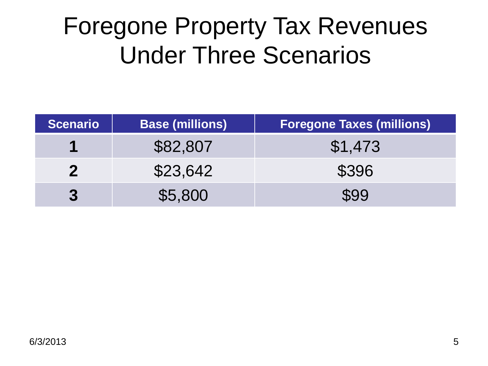### Foregone Property Tax Revenues Under Three Scenarios

| <b>Scenario</b>  | <b>Base (millions)</b> | <b>Foregone Taxes (millions)</b> |
|------------------|------------------------|----------------------------------|
| 1                | \$82,807               | \$1,473                          |
|                  | \$23,642               | \$396                            |
| $\boldsymbol{3}$ | \$5,800                | \$99                             |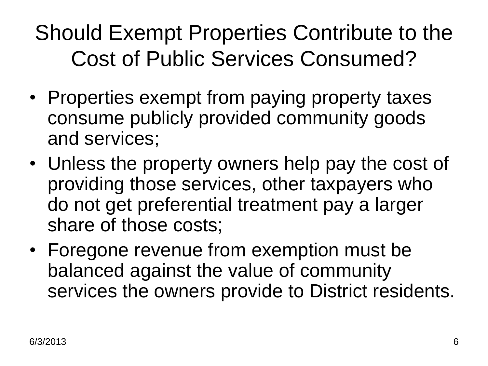#### Should Exempt Properties Contribute to the Cost of Public Services Consumed?

- Properties exempt from paying property taxes consume publicly provided community goods and services;
- Unless the property owners help pay the cost of providing those services, other taxpayers who do not get preferential treatment pay a larger share of those costs;
- Foregone revenue from exemption must be balanced against the value of community services the owners provide to District residents.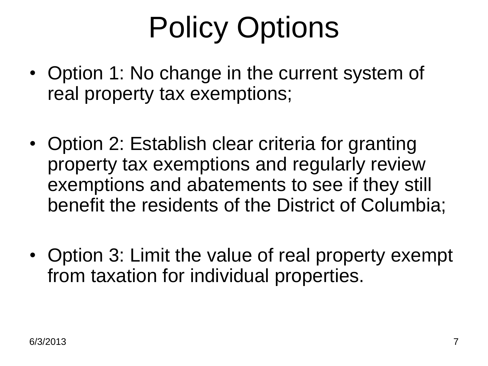## Policy Options

- Option 1: No change in the current system of real property tax exemptions;
- Option 2: Establish clear criteria for granting property tax exemptions and regularly review exemptions and abatements to see if they still benefit the residents of the District of Columbia;
- Option 3: Limit the value of real property exempt from taxation for individual properties.